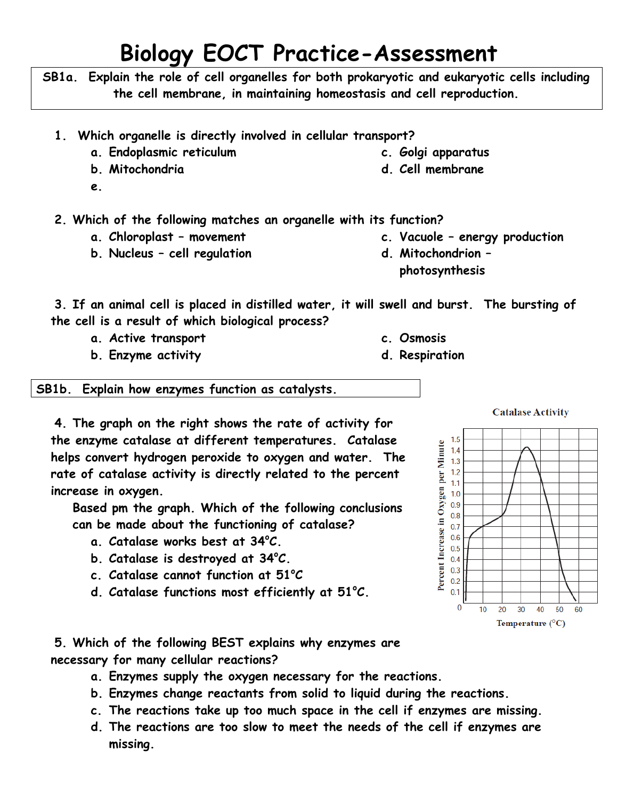## **Biology EOCT Practice-Assessment**

**SB1a. Explain the role of cell organelles for both prokaryotic and eukaryotic cells including the cell membrane, in maintaining homeostasis and cell reproduction.**

- **1. Which organelle is directly involved in cellular transport?**
	- **a. Endoplasmic reticulum**
	- **b. Mitochondria**
	- **e.**

**2. Which of the following matches an organelle with its function?**

- **a. Chloroplast – movement**
- **b. Nucleus – cell regulation**

**d. Cell membrane**

**c. Golgi apparatus**

- **c. Vacuole – energy production**
- **d. Mitochondrion – photosynthesis**

**c. Osmosis d. Respiration**

**3. If an animal cell is placed in distilled water, it will swell and burst. The bursting of the cell is a result of which biological process?**

- **a. Active transport**
- **b. Enzyme activity**

**SB1b. Explain how enzymes function as catalysts.**

**4. The graph on the right shows the rate of activity for the enzyme catalase at different temperatures. Catalase helps convert hydrogen peroxide to oxygen and water. The rate of catalase activity is directly related to the percent increase in oxygen.**

**Based pm the graph. Which of the following conclusions can be made about the functioning of catalase?**

- **a. Catalase works best at 34<sup>o</sup>C.**
- **b. Catalase is destroyed at 34<sup>o</sup>C.**
- **c. Catalase cannot function at 51<sup>o</sup>C**
- **d. Catalase functions most efficiently at 51<sup>o</sup>C.**
- 1.5 Percent Increase in Oxygen per Minute  $1.4$  $1.3$  $1.2$  $1.1$  $1.0$  $0.9$  $0.8$  $0.7$  $0.6$  $0.5$  $0.4$  $0.3$  $0.2$  $0.1$ 0  $10<sup>10</sup>$ 20 30 40 50  $60$ Temperature  $(^{\circ}C)$

**Catalase Activity** 

**5. Which of the following BEST explains why enzymes are necessary for many cellular reactions?**

- **a. Enzymes supply the oxygen necessary for the reactions.**
- **b. Enzymes change reactants from solid to liquid during the reactions.**
- **c. The reactions take up too much space in the cell if enzymes are missing.**
- **d. The reactions are too slow to meet the needs of the cell if enzymes are missing.**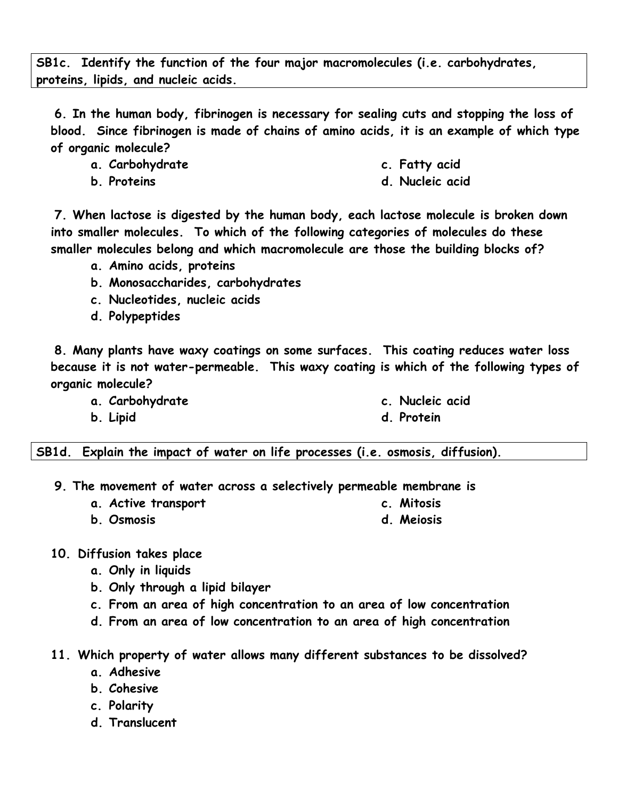**SB1c. Identify the function of the four major macromolecules (i.e. carbohydrates, proteins, lipids, and nucleic acids.**

**6. In the human body, fibrinogen is necessary for sealing cuts and stopping the loss of blood. Since fibrinogen is made of chains of amino acids, it is an example of which type of organic molecule?**

- **a. Carbohydrate**
- **b. Proteins**
- **c. Fatty acid**
- **d. Nucleic acid**

**7. When lactose is digested by the human body, each lactose molecule is broken down into smaller molecules. To which of the following categories of molecules do these smaller molecules belong and which macromolecule are those the building blocks of?**

- **a. Amino acids, proteins**
- **b. Monosaccharides, carbohydrates**
- **c. Nucleotides, nucleic acids**
- **d. Polypeptides**

**8. Many plants have waxy coatings on some surfaces. This coating reduces water loss because it is not water-permeable. This waxy coating is which of the following types of organic molecule?**

**a. Carbohydrate**

**b. Lipid**

- **c. Nucleic acid**
- **d. Protein**

**c. Mitosis**

**SB1d. Explain the impact of water on life processes (i.e. osmosis, diffusion).**

- **9. The movement of water across a selectively permeable membrane is**
	- **a. Active transport**
	- **b. Osmosis d. Meiosis**
- **10. Diffusion takes place**
	- **a. Only in liquids**
	- **b. Only through a lipid bilayer**
	- **c. From an area of high concentration to an area of low concentration**
	- **d. From an area of low concentration to an area of high concentration**
- **11. Which property of water allows many different substances to be dissolved?**
	- **a. Adhesive**
	- **b. Cohesive**
	- **c. Polarity**
	- **d. Translucent**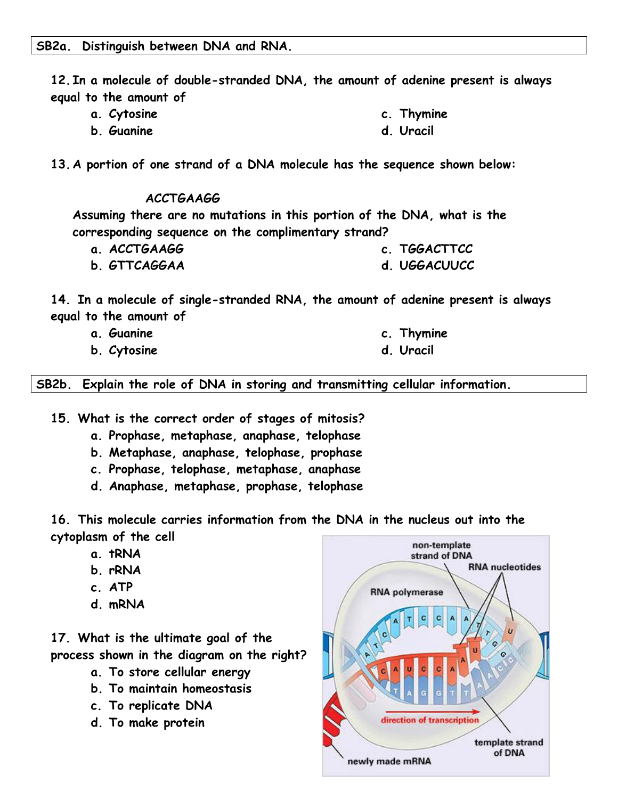**12. In a molecule of double-stranded DNA, the amount of adenine present is always equal to the amount of** 

- **a. Cytosine c. Thymine**
- **b. Guanine d. Uracil**
- **13. A portion of one strand of a DNA molecule has the sequence shown below:**

## **ACCTGAAGG**

**Assuming there are no mutations in this portion of the DNA, what is the corresponding sequence on the complimentary strand?**

- **a. ACCTGAAGG c. TGGACTTCC**
- **b. GTTCAGGAA d. UGGACUUCC**

**14. In a molecule of single-stranded RNA, the amount of adenine present is always equal to the amount of** 

- **a. Guanine**
- **b. Cytosine**
- **c. Thymine**
- **d. Uracil**

**SB2b. Explain the role of DNA in storing and transmitting cellular information.**

**15. What is the correct order of stages of mitosis?**

- **a. Prophase, metaphase, anaphase, telophase**
- **b. Metaphase, anaphase, telophase, prophase**
- **c. Prophase, telophase, metaphase, anaphase**
- **d. Anaphase, metaphase, prophase, telophase**

**16. This molecule carries information from the DNA in the nucleus out into the cytoplasm of the cell**

- **a. tRNA**
- **b. rRNA**
- **c. ATP**
- **d. mRNA**

**17. What is the ultimate goal of the process shown in the diagram on the right?**

- **a. To store cellular energy**
- **b. To maintain homeostasis**
- **c. To replicate DNA**
- **d. To make protein**

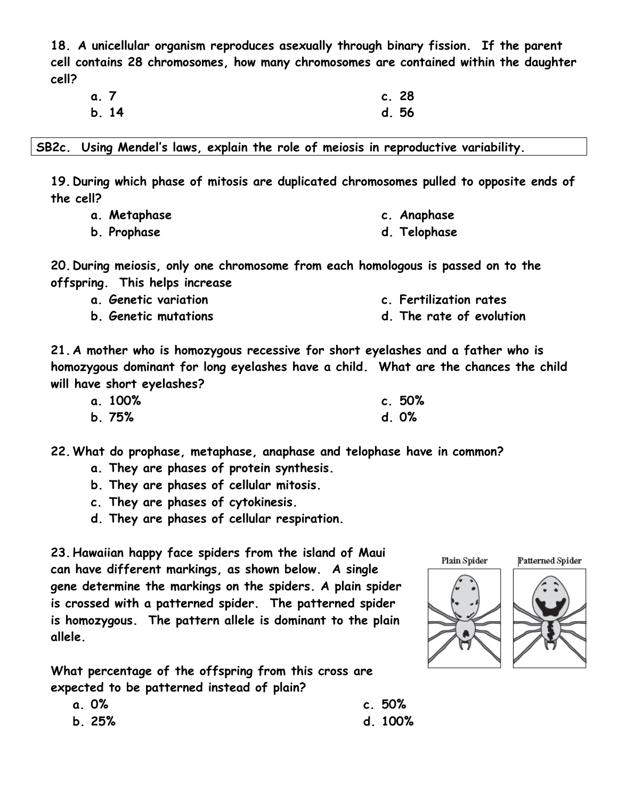**18. A unicellular organism reproduces asexually through binary fission. If the parent cell contains 28 chromosomes, how many chromosomes are contained within the daughter cell?**

| a. 7 |      | c.28  |  |
|------|------|-------|--|
|      | b.14 | d. 56 |  |

**SB2c. Using Mendel's laws, explain the role of meiosis in reproductive variability.**

**19. During which phase of mitosis are duplicated chromosomes pulled to opposite ends of the cell?**

**d. Telophase**

|  | a. Metaphase |  | c. Anaphase |
|--|--------------|--|-------------|
|--|--------------|--|-------------|

**b. Prophase**

**20. During meiosis, only one chromosome from each homologous is passed on to the offspring. This helps increase**

- **a. Genetic variation c. Fertilization rates**
- **b. Genetic mutations d. The rate of evolution**

**21. A mother who is homozygous recessive for short eyelashes and a father who is homozygous dominant for long eyelashes have a child. What are the chances the child will have short eyelashes?**

| a. 100% | c.50% |
|---------|-------|
| b.75%   | d. 0% |

**22.What do prophase, metaphase, anaphase and telophase have in common?**

- **a. They are phases of protein synthesis.**
- **b. They are phases of cellular mitosis.**
- **c. They are phases of cytokinesis.**
- **d. They are phases of cellular respiration.**

**23.Hawaiian happy face spiders from the island of Maui can have different markings, as shown below. A single gene determine the markings on the spiders. A plain spider is crossed with a patterned spider. The patterned spider is homozygous. The pattern allele is dominant to the plain allele.**

**What percentage of the offspring from this cross are expected to be patterned instead of plain?**

| Plain Spider | Fа |
|--------------|----|
|              |    |





**c. 50% d. 100%**

- **a. 0%**
- **b. 25%**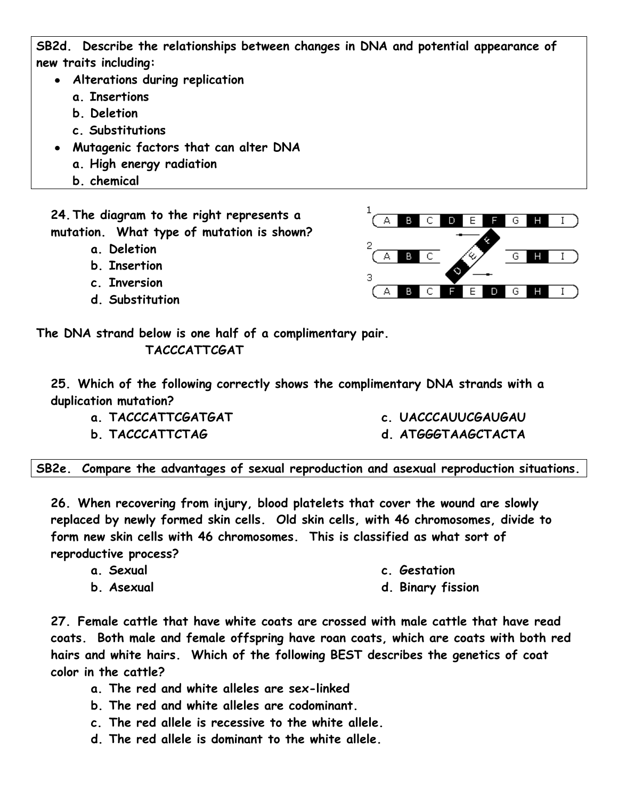**SB2d. Describe the relationships between changes in DNA and potential appearance of new traits including:**

- **Alterations during replication**
	- **a. Insertions**
	- **b. Deletion**
	- **c. Substitutions**
- **Mutagenic factors that can alter DNA**
	- **a. High energy radiation**
	- **b. chemical**

**24.The diagram to the right represents a mutation. What type of mutation is shown?**

- **a. Deletion**
- **b. Insertion**
- **c. Inversion**
- **d. Substitution**



**The DNA strand below is one half of a complimentary pair. TACCCATTCGAT**

**25. Which of the following correctly shows the complimentary DNA strands with a duplication mutation?**

- **a. TACCCATTCGATGAT**
- **b. TACCCATTCTAG**
- **c. UACCCAUUCGAUGAU**
- **d. ATGGGTAAGCTACTA**

**SB2e. Compare the advantages of sexual reproduction and asexual reproduction situations.**

**26. When recovering from injury, blood platelets that cover the wound are slowly replaced by newly formed skin cells. Old skin cells, with 46 chromosomes, divide to form new skin cells with 46 chromosomes. This is classified as what sort of reproductive process?**

- **a. Sexual**
- **b. Asexual**
- **c. Gestation**
- **d. Binary fission**

**27. Female cattle that have white coats are crossed with male cattle that have read coats. Both male and female offspring have roan coats, which are coats with both red hairs and white hairs. Which of the following BEST describes the genetics of coat color in the cattle?**

- **a. The red and white alleles are sex-linked**
- **b. The red and white alleles are codominant.**
- **c. The red allele is recessive to the white allele.**
- **d. The red allele is dominant to the white allele.**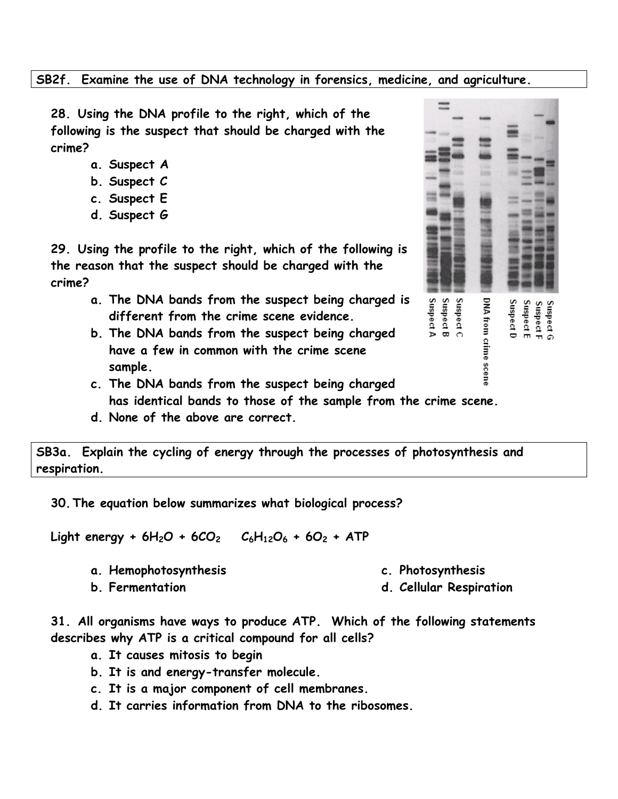## **SB2f. Examine the use of DNA technology in forensics, medicine, and agriculture.**

**28. Using the DNA profile to the right, which of the following is the suspect that should be charged with the crime?**

- **a. Suspect A**
- **b. Suspect C**
- **c. Suspect E**
- **d. Suspect G**

**29. Using the profile to the right, which of the following is the reason that the suspect should be charged with the crime?**

- **a. The DNA bands from the suspect being charged is different from the crime scene evidence.**
- **b. The DNA bands from the suspect being charged have a few in common with the crime scene sample.**



- **c. The DNA bands from the suspect being charged has identical bands to those of the sample from the crime scene.**
- **d. None of the above are correct.**

**SB3a. Explain the cycling of energy through the processes of photosynthesis and respiration.**

**30.The equation below summarizes what biological process?**

**Light energy + 6H2O + 6CO<sup>2</sup> C6H12O<sup>6</sup> + 6O<sup>2</sup> + ATP**

**a. Hemophotosynthesis**

**c. Photosynthesis**

**b. Fermentation**

**d. Cellular Respiration**

**31. All organisms have ways to produce ATP. Which of the following statements describes why ATP is a critical compound for all cells?**

- **a. It causes mitosis to begin**
- **b. It is and energy-transfer molecule.**
- **c. It is a major component of cell membranes.**
- **d. It carries information from DNA to the ribosomes.**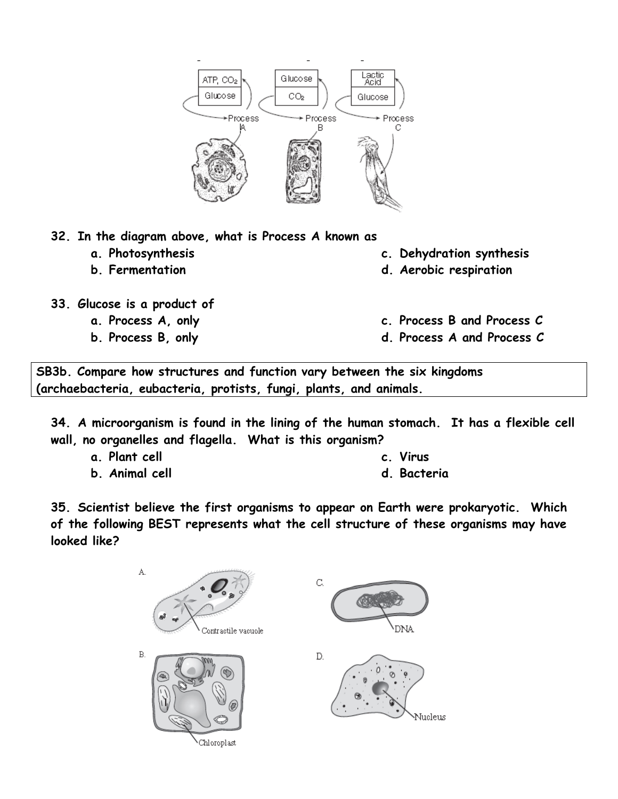

- **32. In the diagram above, what is Process A known as**
	- **a. Photosynthesis**
	- **b. Fermentation**
- **33. Glucose is a product of** 
	- **a. Process A, only**
	- **b. Process B, only**
- **c. Dehydration synthesis**
- **d. Aerobic respiration**
- **c. Process B and Process C**
- **d. Process A and Process C**

**SB3b. Compare how structures and function vary between the six kingdoms (archaebacteria, eubacteria, protists, fungi, plants, and animals.**

**34. A microorganism is found in the lining of the human stomach. It has a flexible cell wall, no organelles and flagella. What is this organism?**

**a. Plant cell**

**c. Virus** 

**b. Animal cell**

**d. Bacteria**

**35. Scientist believe the first organisms to appear on Earth were prokaryotic. Which of the following BEST represents what the cell structure of these organisms may have looked like?**

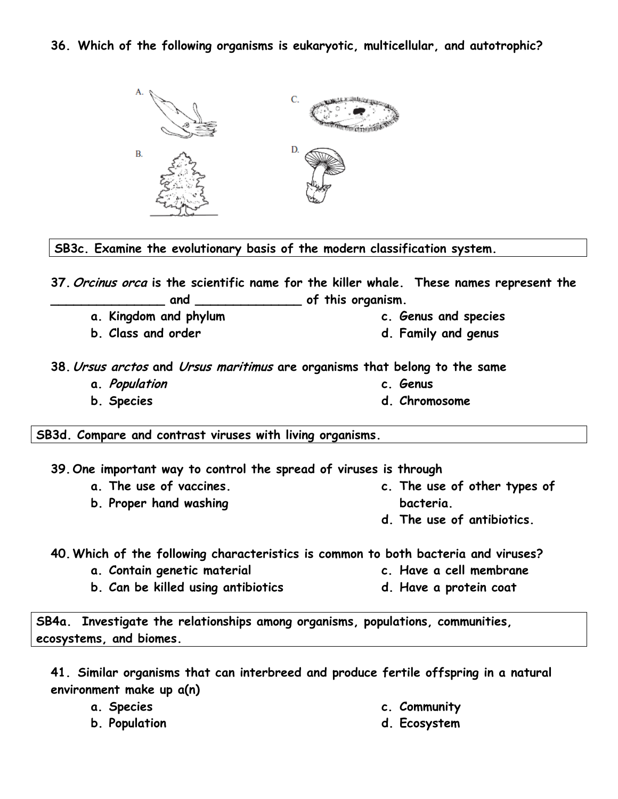**36. Which of the following organisms is eukaryotic, multicellular, and autotrophic?**



**SB3c. Examine the evolutionary basis of the modern classification system.**

**37.Orcinus orca is the scientific name for the killer whale. These names represent the \_\_\_\_\_\_\_\_\_\_\_\_\_\_\_ and \_\_\_\_\_\_\_\_\_\_\_\_\_\_ of this organism.**

- **a. Kingdom and phylum**
- **b. Class and order**
- **c. Genus and species**
- **d. Family and genus**

**38.Ursus arctos and Ursus maritimus are organisms that belong to the same**

- **a. Population**
- **b. Species**
- **c. Genus**
- **d. Chromosome**

**SB3d. Compare and contrast viruses with living organisms.**

**39.One important way to control the spread of viruses is through**

- **a. The use of vaccines.**
- **b. Proper hand washing**
- **c. The use of other types of bacteria.**
- **d. The use of antibiotics.**

**40.Which of the following characteristics is common to both bacteria and viruses?**

- **a. Contain genetic material**
- **b. Can be killed using antibiotics**
- **c. Have a cell membrane**
- **d. Have a protein coat**

**SB4a. Investigate the relationships among organisms, populations, communities, ecosystems, and biomes.**

**41. Similar organisms that can interbreed and produce fertile offspring in a natural environment make up a(n)**

- **a. Species**
- **b. Population**
- **c. Community**
- **d. Ecosystem**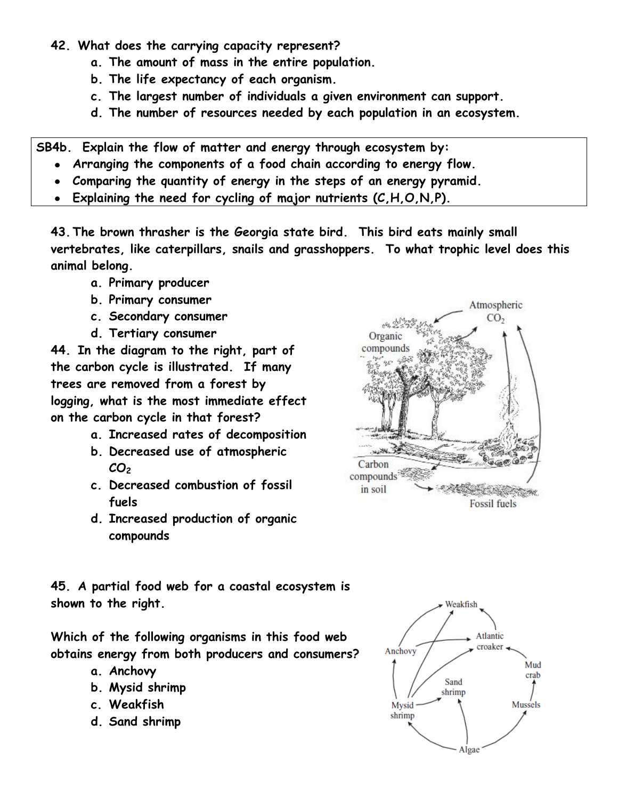- **42. What does the carrying capacity represent?**
	- **a. The amount of mass in the entire population.**
	- **b. The life expectancy of each organism.**
	- **c. The largest number of individuals a given environment can support.**
	- **d. The number of resources needed by each population in an ecosystem.**

**SB4b. Explain the flow of matter and energy through ecosystem by:**

- **Arranging the components of a food chain according to energy flow.**
- **Comparing the quantity of energy in the steps of an energy pyramid.**
- **Explaining the need for cycling of major nutrients (C,H,O,N,P).**

**43.The brown thrasher is the Georgia state bird. This bird eats mainly small vertebrates, like caterpillars, snails and grasshoppers. To what trophic level does this animal belong.**

- **a. Primary producer**
- **b. Primary consumer**
- **c. Secondary consumer**
- **d. Tertiary consumer**

**44. In the diagram to the right, part of the carbon cycle is illustrated. If many trees are removed from a forest by logging, what is the most immediate effect on the carbon cycle in that forest?**

- **a. Increased rates of decomposition**
- **b. Decreased use of atmospheric CO<sup>2</sup>**
- **c. Decreased combustion of fossil fuels**
- **d. Increased production of organic compounds**



**45. A partial food web for a coastal ecosystem is shown to the right.**

**Which of the following organisms in this food web obtains energy from both producers and consumers?**

- **a. Anchovy**
- **b. Mysid shrimp**
- **c. Weakfish**
- **d. Sand shrimp**

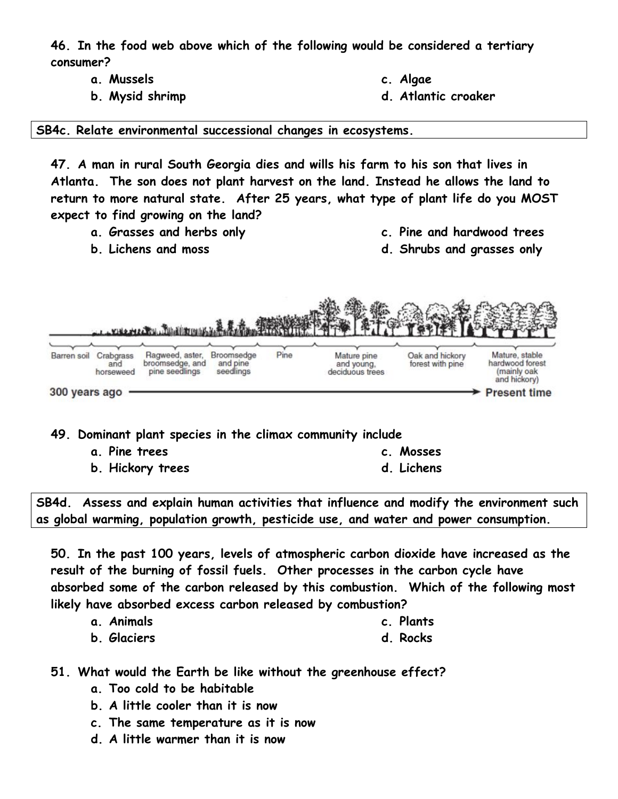**46. In the food web above which of the following would be considered a tertiary consumer?**

- **a. Mussels**
- **b. Mysid shrimp**
- **c. Algae**
- **d. Atlantic croaker**

**SB4c. Relate environmental successional changes in ecosystems.**

**47. A man in rural South Georgia dies and wills his farm to his son that lives in Atlanta. The son does not plant harvest on the land. Instead he allows the land to return to more natural state. After 25 years, what type of plant life do you MOST expect to find growing on the land?**

- **a. Grasses and herbs only**
- **b. Lichens and moss**
- **c. Pine and hardwood trees**
- **d. Shrubs and grasses only**



**49. Dominant plant species in the climax community include**

**a. Pine trees**

**c. Mosses** 

**b. Hickory trees**

**d. Lichens** 

**SB4d. Assess and explain human activities that influence and modify the environment such as global warming, population growth, pesticide use, and water and power consumption.**

**50. In the past 100 years, levels of atmospheric carbon dioxide have increased as the result of the burning of fossil fuels. Other processes in the carbon cycle have absorbed some of the carbon released by this combustion. Which of the following most likely have absorbed excess carbon released by combustion?**

| a. Animals | c. Plants |
|------------|-----------|
|------------|-----------|

- **b. Glaciers d. Rocks**
- **51. What would the Earth be like without the greenhouse effect?**
	- **a. Too cold to be habitable**
	- **b. A little cooler than it is now**
	- **c. The same temperature as it is now**
	- **d. A little warmer than it is now**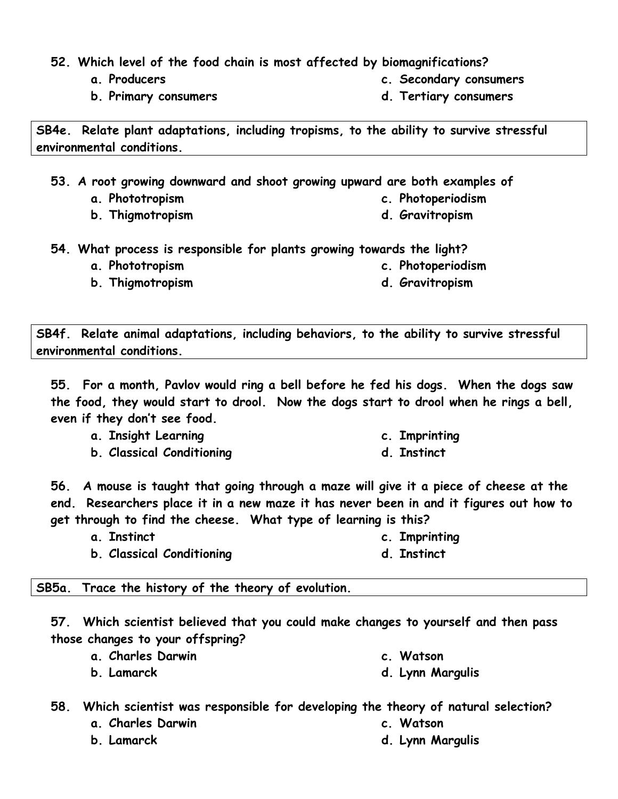- **52. Which level of the food chain is most affected by biomagnifications?**
	- **a. Producers**
	- **b. Primary consumers**

**SB4e. Relate plant adaptations, including tropisms, to the ability to survive stressful environmental conditions.**

**53. A root growing downward and shoot growing upward are both examples of** 

- **a. Phototropism**
- **b. Thigmotropism**
- **54. What process is responsible for plants growing towards the light?**
	- **a. Phototropism**
	- **b. Thigmotropism**
- 
- **SB4f. Relate animal adaptations, including behaviors, to the ability to survive stressful environmental conditions.**

**55. For a month, Pavlov would ring a bell before he fed his dogs. When the dogs saw the food, they would start to drool. Now the dogs start to drool when he rings a bell, even if they don't see food.**

- **a. Insight Learning**
- **b. Classical Conditioning**

**56. A mouse is taught that going through a maze will give it a piece of cheese at the end. Researchers place it in a new maze it has never been in and it figures out how to get through to find the cheese. What type of learning is this?**

- **a. Instinct c. Imprinting d. Instinct**
- **b. Classical Conditioning**

## **SB5a. Trace the history of the theory of evolution.**

**57. Which scientist believed that you could make changes to yourself and then pass those changes to your offspring?**

- **a. Charles Darwin**
	- **d. Lynn Margulis**

**58. Which scientist was responsible for developing the theory of natural selection?**

- **a. Charles Darwin**
- **b. Lamarck**

**b. Lamarck**

**c. Watson**

**c. Watson**

**d. Lynn Margulis**

- **c. Imprinting**
- **d. Instinct**

**c. Photoperiodism d. Gravitropism**

- **c. Photoperiodism**
- 
- **d. Gravitropism**

**c. Secondary consumers d. Tertiary consumers**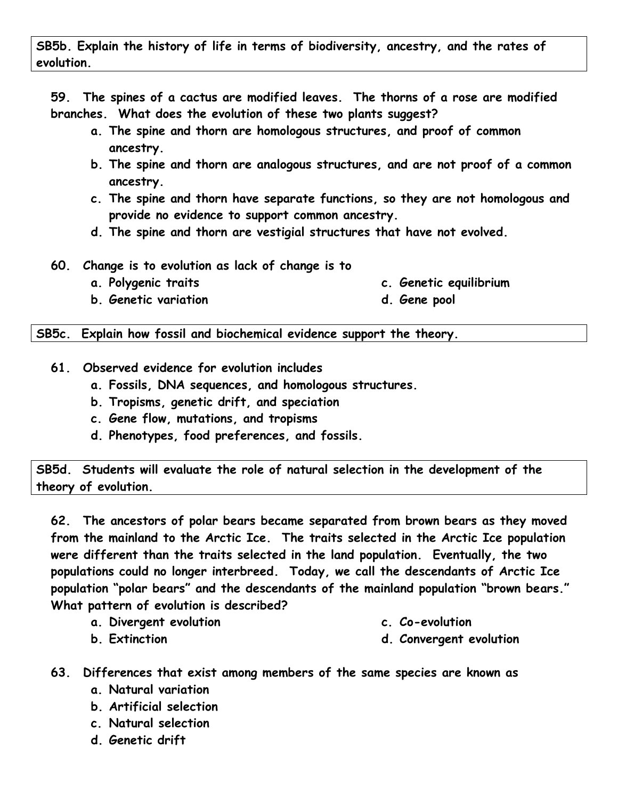**59. The spines of a cactus are modified leaves. The thorns of a rose are modified branches. What does the evolution of these two plants suggest?**

- **a. The spine and thorn are homologous structures, and proof of common ancestry.**
- **b. The spine and thorn are analogous structures, and are not proof of a common ancestry.**
- **c. The spine and thorn have separate functions, so they are not homologous and provide no evidence to support common ancestry.**
- **d. The spine and thorn are vestigial structures that have not evolved.**
- **60. Change is to evolution as lack of change is to**
	- **a. Polygenic traits**
- **c. Genetic equilibrium**
- **b. Genetic variation**

**SB5c. Explain how fossil and biochemical evidence support the theory.**

- **61. Observed evidence for evolution includes**
	- **a. Fossils, DNA sequences, and homologous structures.**
	- **b. Tropisms, genetic drift, and speciation**
	- **c. Gene flow, mutations, and tropisms**
	- **d. Phenotypes, food preferences, and fossils.**

**SB5d. Students will evaluate the role of natural selection in the development of the theory of evolution.**

**62. The ancestors of polar bears became separated from brown bears as they moved from the mainland to the Arctic Ice. The traits selected in the Arctic Ice population were different than the traits selected in the land population. Eventually, the two populations could no longer interbreed. Today, we call the descendants of Arctic Ice population "polar bears" and the descendants of the mainland population "brown bears." What pattern of evolution is described?**

**a. Divergent evolution**

**c. Co-evolution**

**d. Convergent evolution**

- **b. Extinction**
- **63. Differences that exist among members of the same species are known as**
	- **a. Natural variation**
	- **b. Artificial selection**
	- **c. Natural selection**
	- **d. Genetic drift**
- 
- **d. Gene pool**